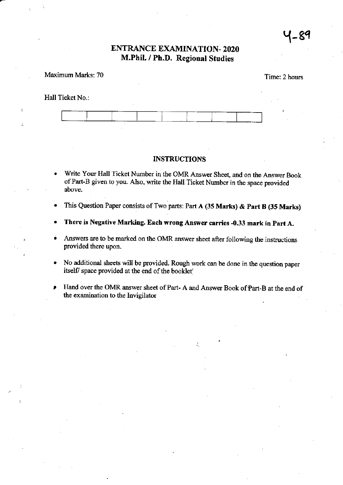# ENTRANCE EXAMINATION-2020 M.Phil. / Ph.D. Regional Studies

### Maximum Marks: 70

Time: 2 hours

### Hall Ticket No.:



#### INSTRUCTIONS

- Write Your Hall Ticket Number in the OMR Answer Sheet, and on the Answer Book of Part-B given to you. Also, write the Hall Ticket Number in the space provided above.
- This Question Paper consists of Two parts: Part A (35 Marks) & Part B (35 Marks)
- There is Negative Marking. Each wrong Answer carries -0.33 mark in Part A.
- . Answers are to be marked on the OMR answer sheet after following the instructions provided there upon.
- . No additional sheets will be provided. Rough work can be done in the question paper itself/ space provided at the end of the booklet'
- Hand over the OMR answer sheet of Part- A and Answer Book of Part-B at the end of the examination to the Invigilator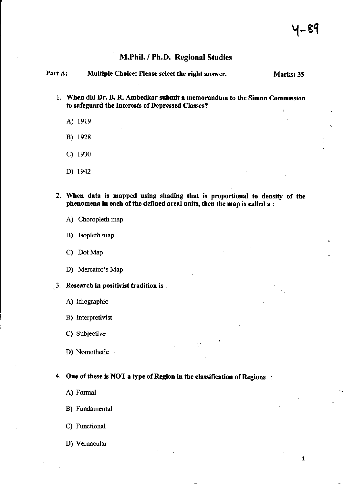$\mathbf{1}$ 

# M.Phil, / Ph.D. Regional Studies

| Part A: | Multiple Choice: Please select the right answer. | Marks: 35 |
|---------|--------------------------------------------------|-----------|
|         |                                                  |           |

- 1. When did Dr. B. R. Ambedkar submit a memorandum to the Simon Commission to safeguard the Interests of Depressed Classes?
	- A) 1919
	- B) <sup>1928</sup>
	- c) <sup>1930</sup>
	- D) 1942
- 2. When data is mapped using shading that is proportional to density of the phenomena in each of the defined areal units, then the map is called a :
	- A) Choropleth map
	- B) Isopleth map
	- C) Dot Map
	- D) Mercator's Map
- $\,$ . Research in positivist tradition is :
	- A) ldiographic
	- B) Interpretivist
	- C) Subjective
	- D) Nomothetic

4. One of these is NOT a type of Region in the classification of Regions :

- A) Formal
- B) Fundamental
- C) Functional
- D) Vemacular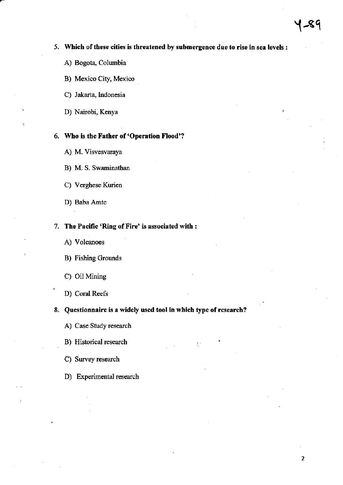# 5. Which of these cities is threatened by submergence due to rise in sea levels :

- A) Bogota, Columbia
- B) Mexico City, Mexico
- C) Jakarta, Indonesia
- D) Nairobi, Kenya

## Who is the Father of'Operation Flood'?

- A) M. Visvesvaraya
- B) M. S. Swaminathan
- C) Verghese Kurien
- D) Baba Amte

## 7. The Pacific 'Ring of Fire' is associated with :

- A) Volcanoes
- B) Fishing Grounds
- C) Oil Mining
- D) Coral Reefs

#### 8. Questionnaire is a widely used tool in which type of research?

 $\overline{L}$ 

- A) Case Study research
- B) Historical research
- C) Survey research
- D) Experimental research

 $\mathbf 2$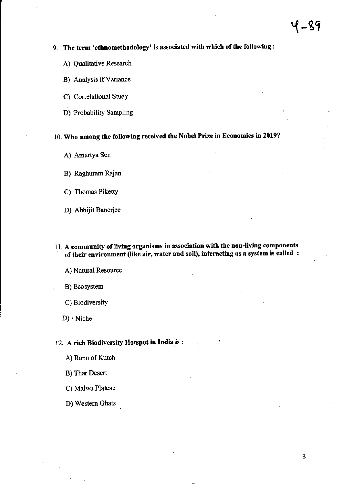# 9. The term 'ethnomethodology' is associated with which of the following:

- A) Qualitative Research
- B) Analysis if Variance
- C) Correlational Study
- D) Probability Sampling

# 10. Who among the following received the Nobel Prize in Economics in 2019?

- A) Amartya Sen
- B) Raghuram Rajan
- C) Thomas Piketty
- D) Abhijit Banerjee
- 11. A community of living organisms in association with the non-living components of their environment (like air, water and soil), interacting as a system is called :
	- A) Natural Resource
	- B) Ecosystem
	- C) Biodiversity
	- $D)$  Niche

# 12. A rich Biodiversity Hotspot in India is:

- A) Rann of Kutch
- **B)** Thar Desert
- C) Malwa Plateau
- D) Western Ghats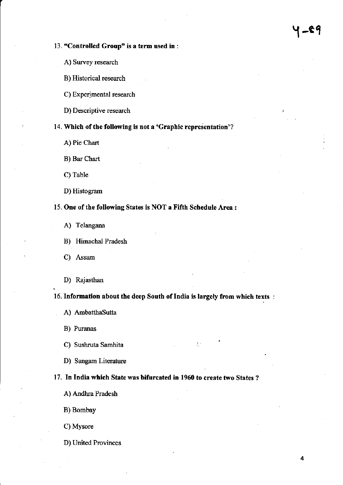## 13. "Controlled Group' is a term used in :

- A) Survey research
- B) Historical research
- C) Experimental research
- D) Descriptive research /

# 14. Which of the following is not a 'Graphic representation'?

- A) Pie Chart
- B) Bar Chart
- C) Table
- D) Histogram

### 15. One of the following States is NOT a Fifth Schedule Area :

- A) Telangana
- B) Himachal Pradesh
- C) Assam
- D) Rajasthan

16. Information about the deep South of India is largely from which texts :

- A) AmbatthaSutta
- B) Puranas
- C) Sushruta Samhita
- D) Sangam Literature

#### 17. In India which State was bifurcated in 1960 to create two States?

- A) Andhra Pradesh
- B) Bombay
- C) Mysore
- D) United Provinces

Y -eq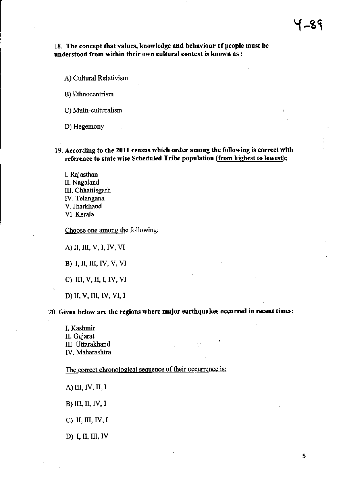### 18. The concept that values, knowledge and behaviour of people must be understood from within their own cultural context is known as :

A) Cultural Relativism

B) €thnocentrism

C) Multi-culturalism

D) Hegemony

19. According to the 2011 census which order among the following is correct with reference to state wise Scheduled Tribe population (from highest to lowest);

I. Rajasthan II. Nagaland III. Chhattisgarh W, Telangana V. Jharkhand VL Kerala

Choose one among the following:

A) II, III, V, I, IV, VI

B) I, II, III, IV, V, VI

C) III, V, II, I, IV, VI

D) II, V, III, IV, VI, I

20. Given below are the regions where major earthquakes occurred in recent times:

÷,

L Kashmir II. Gujarat III. Uttarakhand IV. Maharashtra

The correct chronological sequence of their occurrence is:

A) III, IV, II, I

B) III, II, IV, I

C) II, III, IV, I

D) I, II, III, IV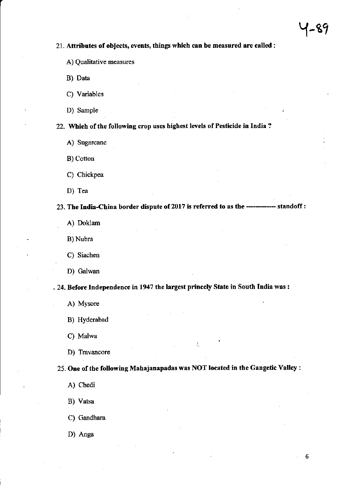#### 21. Attributes of objects, events, things which can be measured are called :

- A) Qualitative measures
- B) Data
- C) Variables
- D) Sample

22. Which of the following crop uses highest levels of Pesticide in India?

- A) Sugarcane
- B) Cotton
- C) Chickpea
- D) Tea

23. The India-China border dispute of 2017 is referred to as the ------------ standoff:

A) Doklam

B) Nubra

C) Siachen

D) Galwan

. 24. Before Independence in 1947 the largest princely State in South India was :

- A) Mysore
- B) Hyderabad

C) Malwa

D) Travancore

25. One of the following Mahajanapadas was NOT located in the Gangetic Valley :

A) Chedi

B) Vatsa

C) Gandhara

D) Anga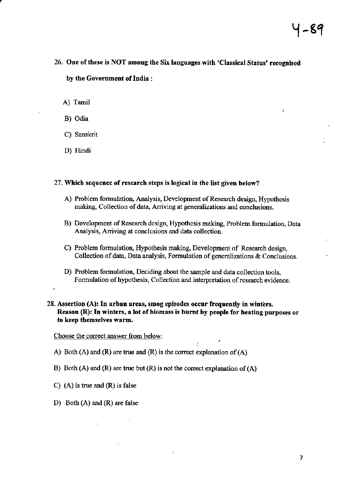- 26. One of these is NOT among the Six languages with 'Classical Status' recognised by the Government of India :
	- A) Tamil
	- B) Odia
	- C) Sanskrit
	- D) Hindi

.

#### 27. Which sequence of research steps is logical in the list given below?

- A) Problem formulation, Analysis, Development of Research design, Hypothesis making, Collection of data, Arriving at generalizations and conclusions.
- B) Development of Research design, Hypothesis making, Problem formulation, Data Analysis, Ariving at conclusions and data collection.
- C) Problem formulation, Hypothesis making, Development of Research design, Collection of data, Data analysis, Formulation of genemlizations & Conclusions.
- D) Problem formulation, Deciding about the sample and data collection tools, Formulation of hypothesis, Collection and interpretation of research evidence.
- $28.$  Assertion (A): In urban areas, smog episodes occur frequently in winters. Reason (R): In winters, a lot of biomass is burnt by people for heating purposes or to keep themselves warm.

,

Choose the correct answer from below:

- A) Both (A) and (R) are true and (R) is the correct explanation of (A)
- B) Both (A) and (R) are true but (R) is not the correct explanation of (A)
- C) (A) is true and (R) is false
- D) Borh (A) and (R) are false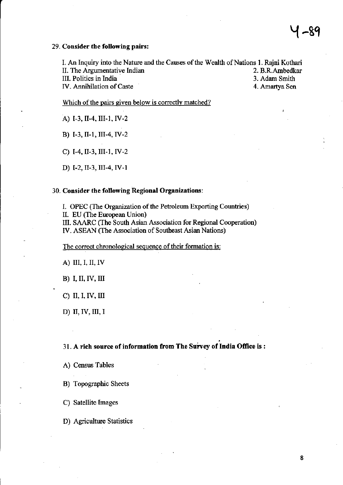#### 29. Consider the following pairs:

I. An Inquiry into the Nature and the Causes of the Wealth of Nations 1. Rajni Kothari II. The Argumentative Indian 2. B.R.Ambedkar III. Politics in India 3. Adam Smith IV. Annihilation of Caste 4. Amartya Sen

Which of the pairs given below is correctly matched?

A) I-3, II-4, III-1, IV-2

B) I-3, II-1, III-4, IV-2

C) I-4, II-3, III-1, IV-2

D) I-2, II-3, III-4, IV-1

### 30. Consider the following Regional Organizations:

I. OPEC (The Organization of the Petroleum Exporting Countries)

II. EU (The European Union)

III. SAARC (The South Asian Association for Regional Cooperation) IV. ASEAN (The Association of Southeast Asian Nations)

The correct chronological sequence of their formation is:

A) III, I, II, IV

**B**) I, II, IV, III

 $C)$  II, I, IV, III

D) II, IV, III, I

## 31. A rich source of information from The Survey of India Office is:

A) Census Tables

B) Topographic Sheets

C) Satellite Images

D) Agriculture Statistics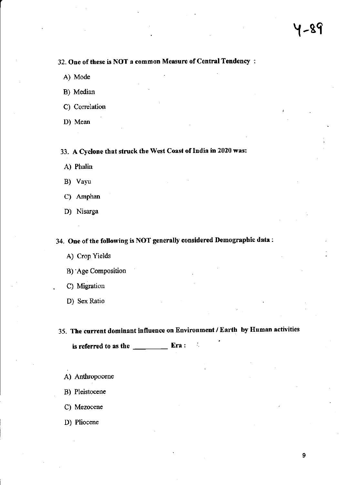# 32. One of these is NOT a common Measure of Central Tendency:

- A) Mode
- B) Median

C) Correlation

D) Mean

33. A Cyclone that struck the West Coast of India in 2020 was:

A) Phalin

B) Vayu

- C) Amphan
- D) Nisarga

34. One of the following is NOT generally considered Demographic data:

A) Crop Yields

B) Age Composition

- C) Migration
- D) Sex Ratio

35. The current dominant influence on Environment / Earth by Human activities

÷,

is referred to as the  $\frac{1}{\sqrt{1-\frac{1}{2}}\sqrt{1-\frac{1}{2}}\left(\frac{1}{2}-\frac{1}{2}\right)}$ Era:

- A) Anthropocene
- B) Pleistocene
- C) Mezocene
- D) Pliocene